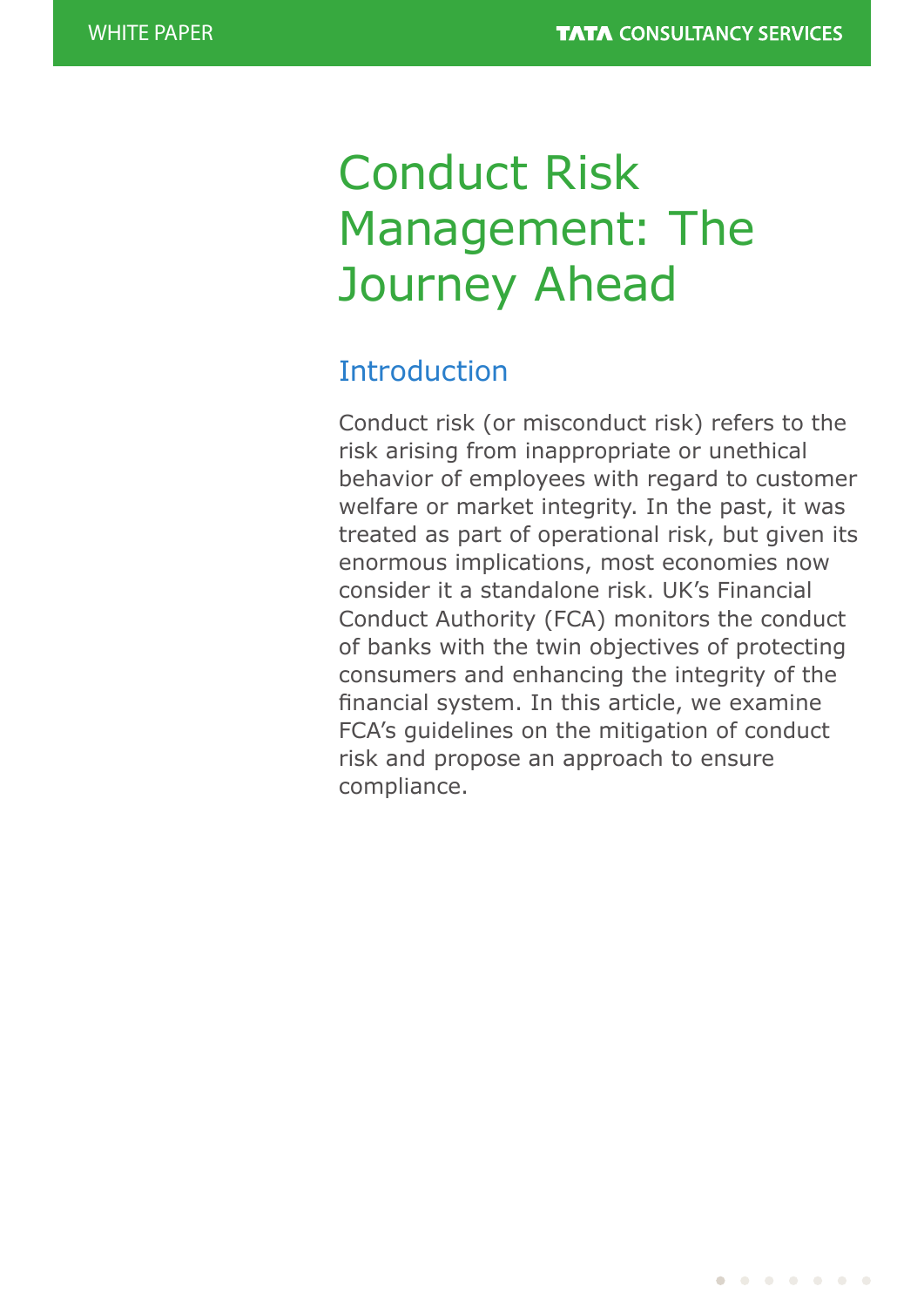# Conduct Risk Management: The Journey Ahead

## **Introduction**

Conduct risk (or misconduct risk) refers to the risk arising from inappropriate or unethical behavior of employees with regard to customer welfare or market integrity. In the past, it was treated as part of operational risk, but given its enormous implications, most economies now consider it a standalone risk. UK's Financial Conduct Authority (FCA) monitors the conduct of banks with the twin objectives of protecting consumers and enhancing the integrity of the financial system. In this article, we examine FCA's guidelines on the mitigation of conduct risk and propose an approach to ensure compliance.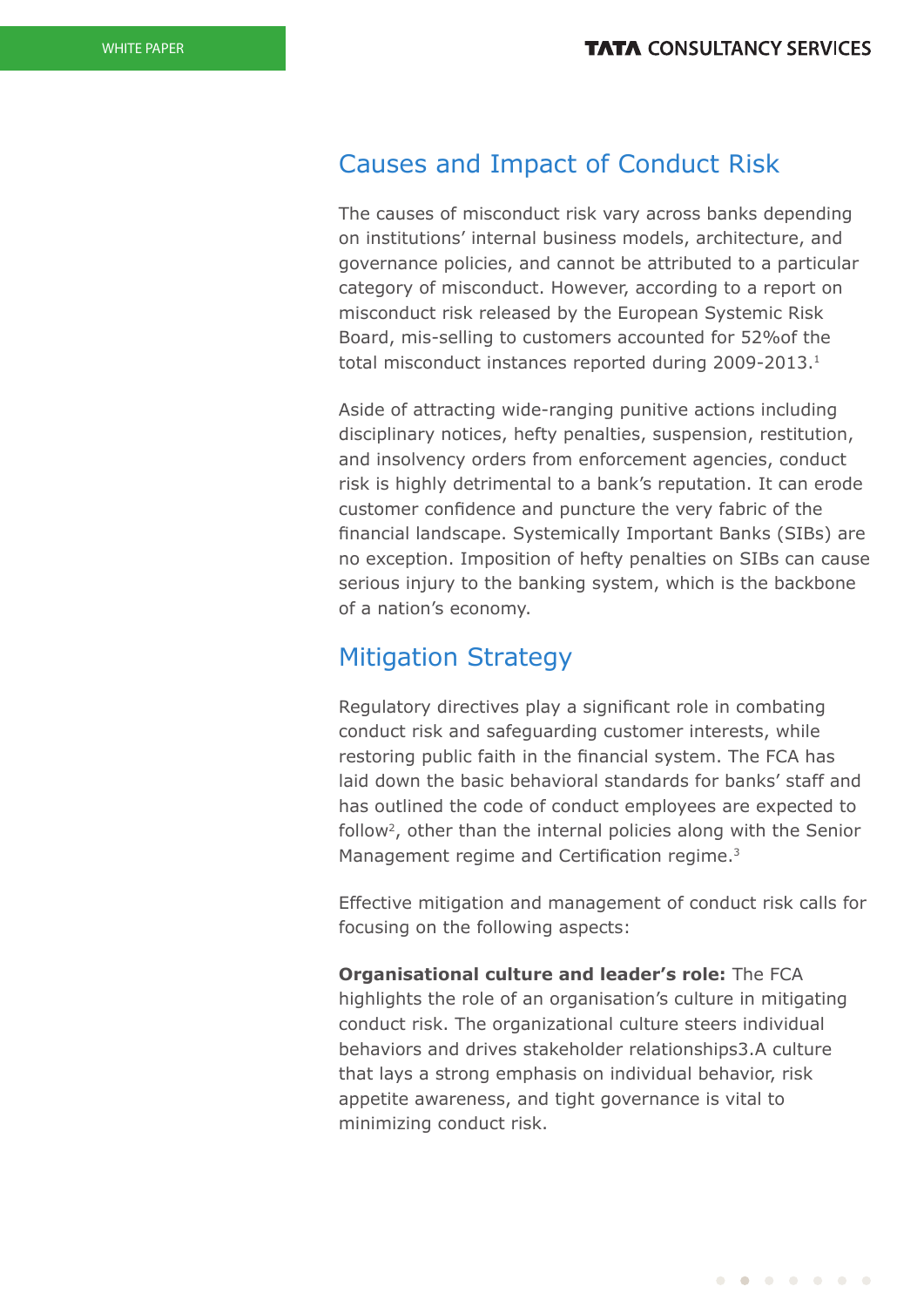### Causes and Impact of Conduct Risk

The causes of misconduct risk vary across banks depending on institutions' internal business models, architecture, and governance policies, and cannot be attributed to a particular category of misconduct. However, according to a report on misconduct risk released by the European Systemic Risk Board, mis-selling to customers accounted for 52%of the total misconduct instances reported during 2009-2013.1

Aside of attracting wide-ranging punitive actions including disciplinary notices, hefty penalties, suspension, restitution, and insolvency orders from enforcement agencies, conduct risk is highly detrimental to a bank's reputation. It can erode customer confidence and puncture the very fabric of the financial landscape. Systemically Important Banks (SIBs) are no exception. Imposition of hefty penalties on SIBs can cause serious injury to the banking system, which is the backbone of a nation's economy.

#### Mitigation Strategy

Regulatory directives play a significant role in combating conduct risk and safeguarding customer interests, while restoring public faith in the financial system. The FCA has laid down the basic behavioral standards for banks' staff and has outlined the code of conduct employees are expected to follow<sup>2</sup>, other than the internal policies along with the Senior Management regime and Certification regime.<sup>3</sup>

Effective mitigation and management of conduct risk calls for focusing on the following aspects:

**Organisational culture and leader's role:** The FCA highlights the role of an organisation's culture in mitigating conduct risk. The organizational culture steers individual behaviors and drives stakeholder relationships3.A culture that lays a strong emphasis on individual behavior, risk appetite awareness, and tight governance is vital to minimizing conduct risk.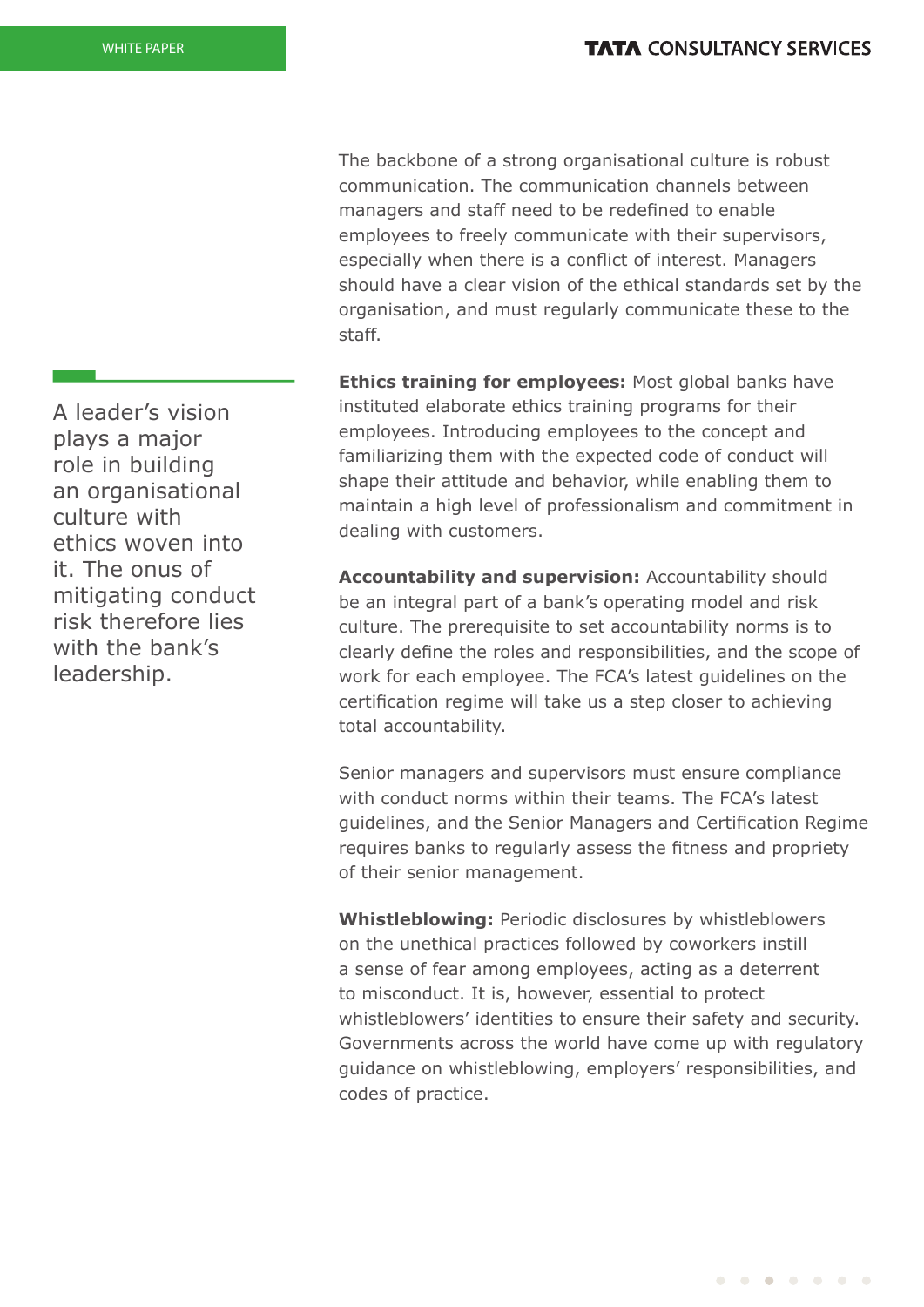The backbone of a strong organisational culture is robust communication. The communication channels between managers and staff need to be redefined to enable employees to freely communicate with their supervisors, especially when there is a conflict of interest. Managers should have a clear vision of the ethical standards set by the organisation, and must regularly communicate these to the staff.

**Ethics training for employees:** Most global banks have instituted elaborate ethics training programs for their employees. Introducing employees to the concept and familiarizing them with the expected code of conduct will shape their attitude and behavior, while enabling them to maintain a high level of professionalism and commitment in dealing with customers.

**Accountability and supervision:** Accountability should be an integral part of a bank's operating model and risk culture. The prerequisite to set accountability norms is to clearly define the roles and responsibilities, and the scope of work for each employee. The FCA's latest guidelines on the certification regime will take us a step closer to achieving total accountability.

Senior managers and supervisors must ensure compliance with conduct norms within their teams. The FCA's latest guidelines, and the Senior Managers and Certification Regime requires banks to regularly assess the fitness and propriety of their senior management.

**Whistleblowing:** Periodic disclosures by whistleblowers on the unethical practices followed by coworkers instill a sense of fear among employees, acting as a deterrent to misconduct. It is, however, essential to protect whistleblowers' identities to ensure their safety and security. Governments across the world have come up with regulatory guidance on whistleblowing, employers' responsibilities, and codes of practice.

A leader's vision plays a major role in building an organisational culture with ethics woven into it. The onus of mitigating conduct risk therefore lies with the bank's leadership.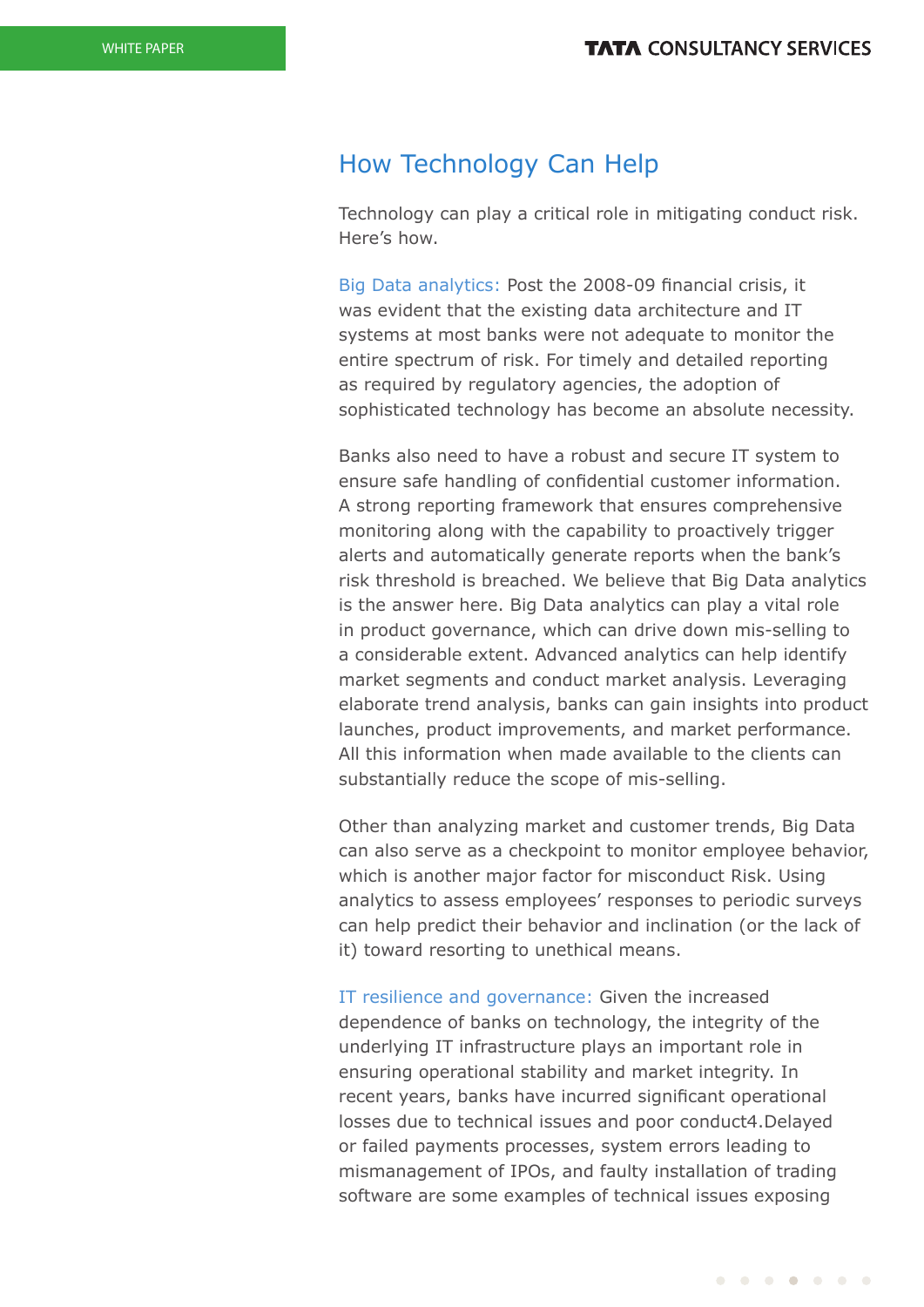### How Technology Can Help

Technology can play a critical role in mitigating conduct risk. Here's how.

Big Data analytics: Post the 2008-09 financial crisis, it was evident that the existing data architecture and IT systems at most banks were not adequate to monitor the entire spectrum of risk. For timely and detailed reporting as required by regulatory agencies, the adoption of sophisticated technology has become an absolute necessity.

Banks also need to have a robust and secure IT system to ensure safe handling of confidential customer information. A strong reporting framework that ensures comprehensive monitoring along with the capability to proactively trigger alerts and automatically generate reports when the bank's risk threshold is breached. We believe that Big Data analytics is the answer here. Big Data analytics can play a vital role in product governance, which can drive down mis-selling to a considerable extent. Advanced analytics can help identify market segments and conduct market analysis. Leveraging elaborate trend analysis, banks can gain insights into product launches, product improvements, and market performance. All this information when made available to the clients can substantially reduce the scope of mis-selling.

Other than analyzing market and customer trends, Big Data can also serve as a checkpoint to monitor employee behavior, which is another major factor for misconduct Risk. Using analytics to assess employees' responses to periodic surveys can help predict their behavior and inclination (or the lack of it) toward resorting to unethical means.

IT resilience and governance: Given the increased dependence of banks on technology, the integrity of the underlying IT infrastructure plays an important role in ensuring operational stability and market integrity. In recent years, banks have incurred significant operational losses due to technical issues and poor conduct4.Delayed or failed payments processes, system errors leading to mismanagement of IPOs, and faulty installation of trading software are some examples of technical issues exposing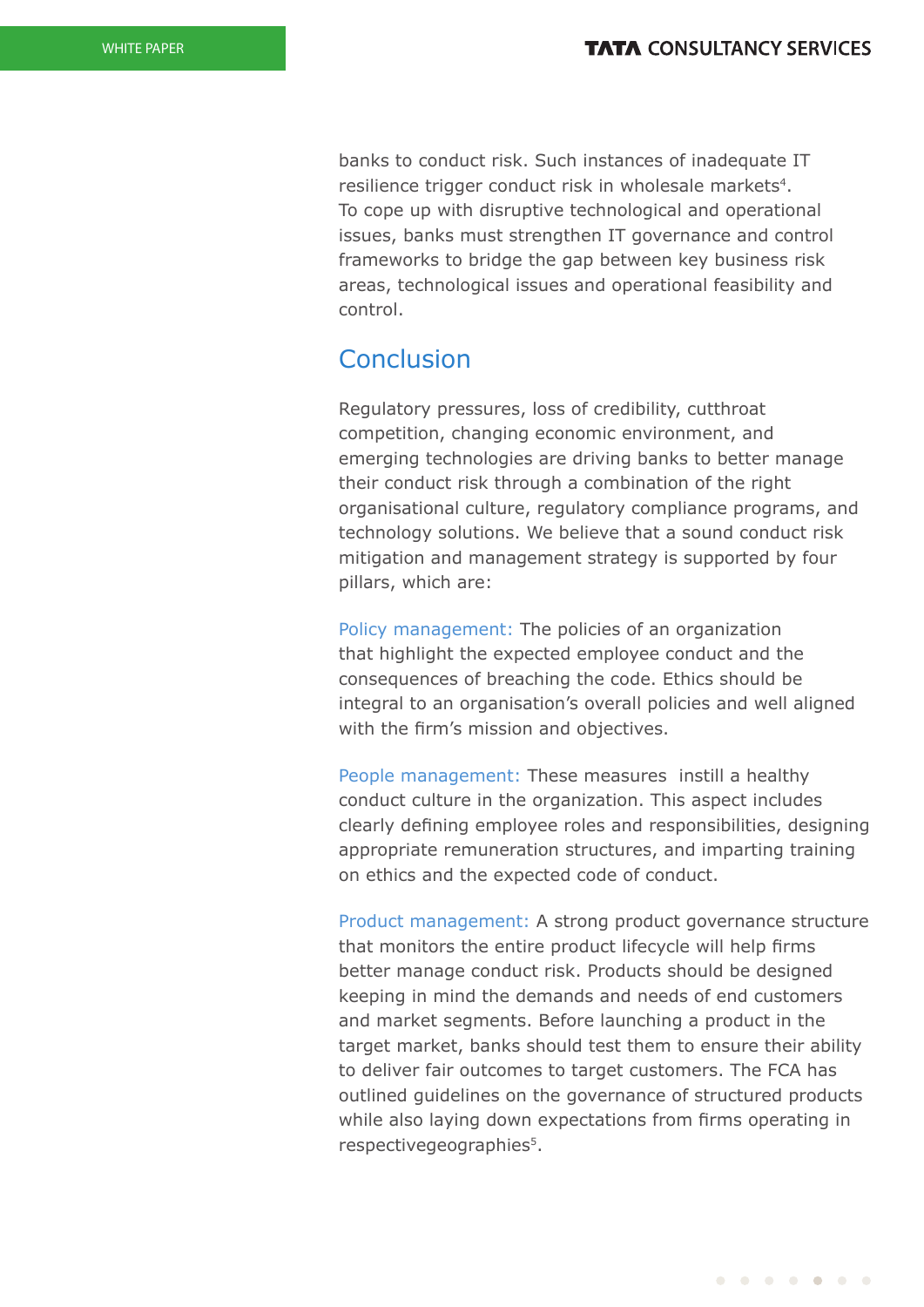banks to conduct risk. Such instances of inadequate IT resilience trigger conduct risk in wholesale markets<sup>4</sup>. To cope up with disruptive technological and operational issues, banks must strengthen IT governance and control frameworks to bridge the gap between key business risk areas, technological issues and operational feasibility and control.

### Conclusion

Regulatory pressures, loss of credibility, cutthroat competition, changing economic environment, and emerging technologies are driving banks to better manage their conduct risk through a combination of the right organisational culture, regulatory compliance programs, and technology solutions. We believe that a sound conduct risk mitigation and management strategy is supported by four pillars, which are:

Policy management: The policies of an organization that highlight the expected employee conduct and the consequences of breaching the code. Ethics should be integral to an organisation's overall policies and well aligned with the firm's mission and objectives.

People management: These measures instill a healthy conduct culture in the organization. This aspect includes clearly defining employee roles and responsibilities, designing appropriate remuneration structures, and imparting training on ethics and the expected code of conduct.

Product management: A strong product governance structure that monitors the entire product lifecycle will help firms better manage conduct risk. Products should be designed keeping in mind the demands and needs of end customers and market segments. Before launching a product in the target market, banks should test them to ensure their ability to deliver fair outcomes to target customers. The FCA has outlined guidelines on the governance of structured products while also laying down expectations from firms operating in respective geographies<sup>5</sup>.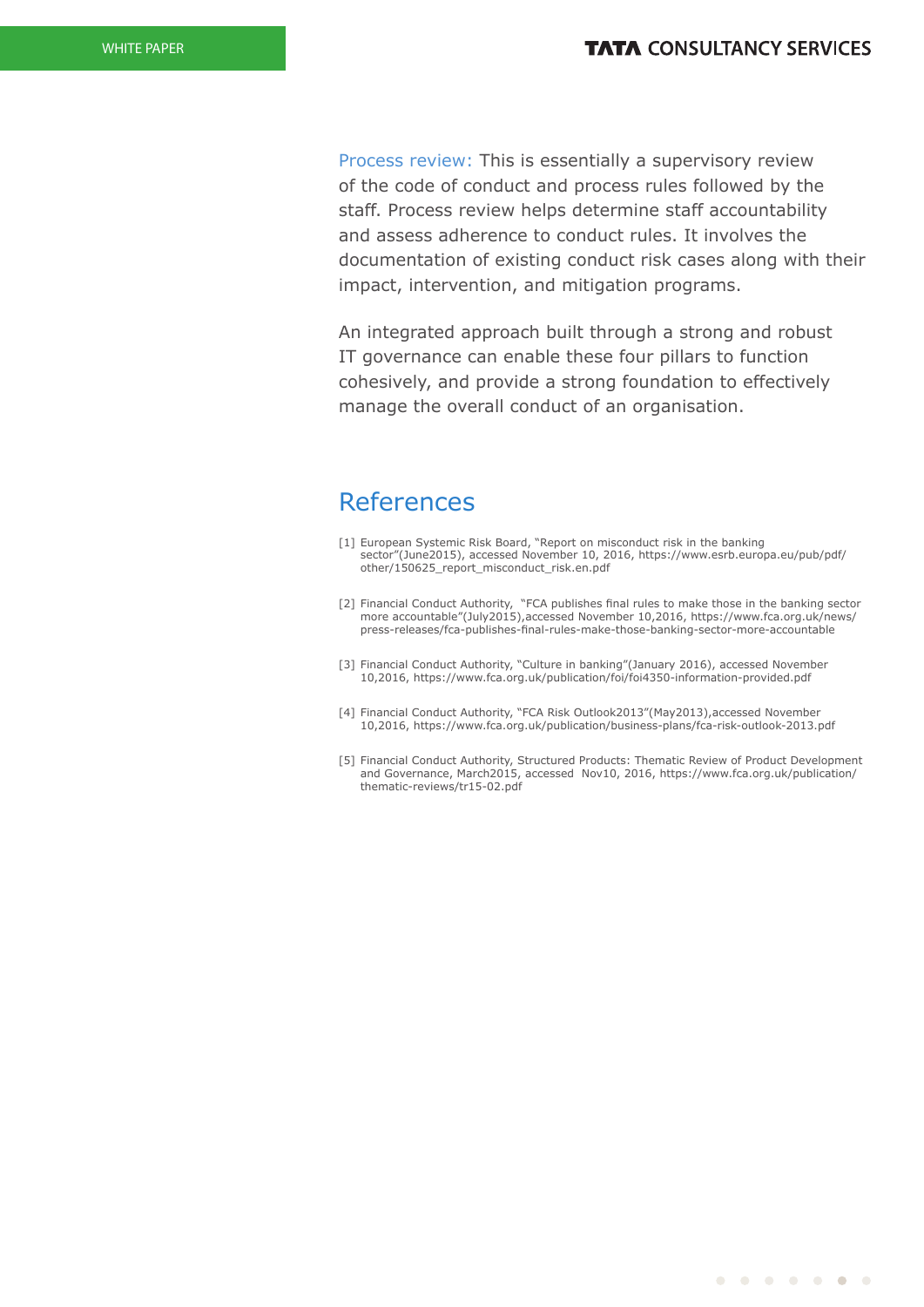Process review: This is essentially a supervisory review of the code of conduct and process rules followed by the staff. Process review helps determine staff accountability and assess adherence to conduct rules. It involves the documentation of existing conduct risk cases along with their impact, intervention, and mitigation programs.

An integrated approach built through a strong and robust IT governance can enable these four pillars to function cohesively, and provide a strong foundation to effectively manage the overall conduct of an organisation.

### References

- [1] European Systemic Risk Board, "Report on misconduct risk in the banking sector"(June2015), accessed November 10, 2016, https://www.esrb.europa.eu/pub/pdf/ other/150625\_report\_misconduct\_risk.en.pdf
- [2] Financial Conduct Authority, "FCA publishes final rules to make those in the banking sector more accountable"(July2015),accessed November 10,2016, https://www.fca.org.uk/news/ press-releases/fca-publishes-final-rules-make-those-banking-sector-more-accountable
- [3] Financial Conduct Authority, "Culture in banking"(January 2016), accessed November 10,2016, https://www.fca.org.uk/publication/foi/foi4350-information-provided.pdf
- [4] Financial Conduct Authority, "FCA Risk Outlook2013"(May2013), accessed November 10,2016, https://www.fca.org.uk/publication/business-plans/fca-risk-outlook-2013.pdf
- [5] Financial Conduct Authority, Structured Products: Thematic Review of Product Development and Governance, March2015, accessed Nov10, 2016, https://www.fca.org.uk/publication/ thematic-reviews/tr15-02.pdf